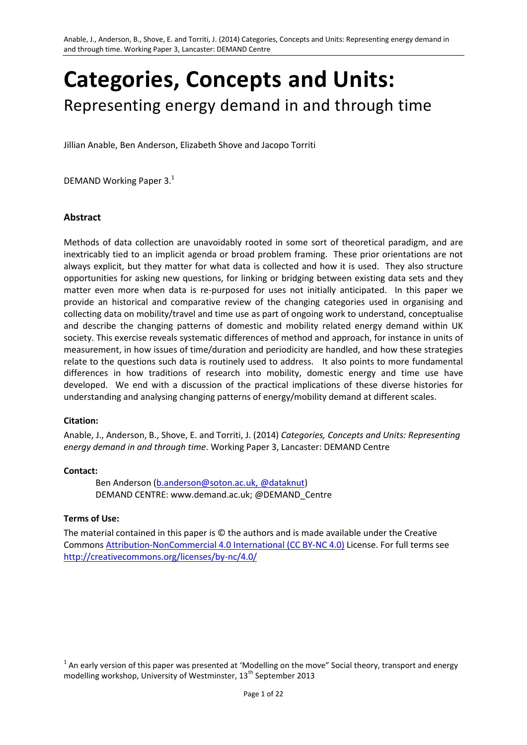# **Categories, Concepts and Units:**  Representing energy demand in and through time

Jillian Anable, Ben Anderson, Elizabeth Shove and Jacopo Torriti

DEMAND Working Paper 3.<sup>1</sup>

### **Abstract**

Methods of data collection are unavoidably rooted in some sort of theoretical paradigm, and are inextricably tied to an implicit agenda or broad problem framing. These prior orientations are not always explicit, but they matter for what data is collected and how it is used. They also structure opportunities for asking new questions, for linking or bridging between existing data sets and they matter even more when data is re-purposed for uses not initially anticipated. In this paper we provide an historical and comparative review of the changing categories used in organising and collecting data on mobility/travel and time use as part of ongoing work to understand, conceptualise and describe the changing patterns of domestic and mobility related energy demand within UK society. This exercise reveals systematic differences of method and approach, for instance in units of measurement, in how issues of time/duration and periodicity are handled, and how these strategies relate to the questions such data is routinely used to address. It also points to more fundamental differences in how traditions of research into mobility, domestic energy and time use have developed. We end with a discussion of the practical implications of these diverse histories for understanding and analysing changing patterns of energy/mobility demand at different scales.

### **Citation:**

Anable, J., Anderson, B., Shove, E. and Torriti, J. (2014) *Categories, Concepts and Units: Representing energy demand in and through time*. Working Paper 3, Lancaster: DEMAND Centre

#### **Contact:**

Ben Anderson [\(b.anderson@soton.ac.uk,](mailto:b.anderson@soton.ac.uk) @dataknut) DEMAND CENTRE: [www.demand.ac.uk;](http://www.demand.ac.uk/) @DEMAND\_Centre

#### **Terms of Use:**

The material contained in this paper is © the authors and is made available under the Creative Commons [Attribution-NonCommercial 4.0 International \(CC BY-NC 4.0\)](http://creativecommons.org/licenses/by-nc/4.0/) License. For full terms see <http://creativecommons.org/licenses/by-nc/4.0/>

 $^1$  An early version of this paper was presented at 'Modelling on the move" Social theory, transport and energy modelling workshop, University of Westminster, 13<sup>th</sup> September 2013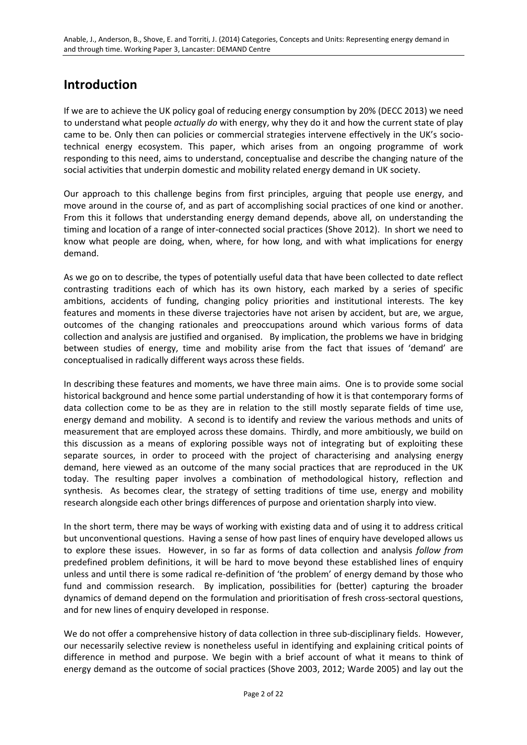# **Introduction**

If we are to achieve the UK policy goal of reducing energy consumption by 20% (DECC 2013) we need to understand what people *actually do* with energy, why they do it and how the current state of play came to be. Only then can policies or commercial strategies intervene effectively in the UK's sociotechnical energy ecosystem. This paper, which arises from an ongoing programme of work responding to this need, aims to understand, conceptualise and describe the changing nature of the social activities that underpin domestic and mobility related energy demand in UK society.

Our approach to this challenge begins from first principles, arguing that people use energy, and move around in the course of, and as part of accomplishing social practices of one kind or another. From this it follows that understanding energy demand depends, above all, on understanding the timing and location of a range of inter-connected social practices (Shove 2012). In short we need to know what people are doing, when, where, for how long, and with what implications for energy demand.

As we go on to describe, the types of potentially useful data that have been collected to date reflect contrasting traditions each of which has its own history, each marked by a series of specific ambitions, accidents of funding, changing policy priorities and institutional interests. The key features and moments in these diverse trajectories have not arisen by accident, but are, we argue, outcomes of the changing rationales and preoccupations around which various forms of data collection and analysis are justified and organised. By implication, the problems we have in bridging between studies of energy, time and mobility arise from the fact that issues of 'demand' are conceptualised in radically different ways across these fields.

In describing these features and moments, we have three main aims. One is to provide some social historical background and hence some partial understanding of how it is that contemporary forms of data collection come to be as they are in relation to the still mostly separate fields of time use, energy demand and mobility. A second is to identify and review the various methods and units of measurement that are employed across these domains. Thirdly, and more ambitiously, we build on this discussion as a means of exploring possible ways not of integrating but of exploiting these separate sources, in order to proceed with the project of characterising and analysing energy demand, here viewed as an outcome of the many social practices that are reproduced in the UK today. The resulting paper involves a combination of methodological history, reflection and synthesis. As becomes clear, the strategy of setting traditions of time use, energy and mobility research alongside each other brings differences of purpose and orientation sharply into view.

In the short term, there may be ways of working with existing data and of using it to address critical but unconventional questions. Having a sense of how past lines of enquiry have developed allows us to explore these issues. However, in so far as forms of data collection and analysis *follow from* predefined problem definitions, it will be hard to move beyond these established lines of enquiry unless and until there is some radical re-definition of 'the problem' of energy demand by those who fund and commission research. By implication, possibilities for (better) capturing the broader dynamics of demand depend on the formulation and prioritisation of fresh cross-sectoral questions, and for new lines of enquiry developed in response.

We do not offer a comprehensive history of data collection in three sub-disciplinary fields. However, our necessarily selective review is nonetheless useful in identifying and explaining critical points of difference in method and purpose. We begin with a brief account of what it means to think of energy demand as the outcome of social practices (Shove 2003, 2012; Warde 2005) and lay out the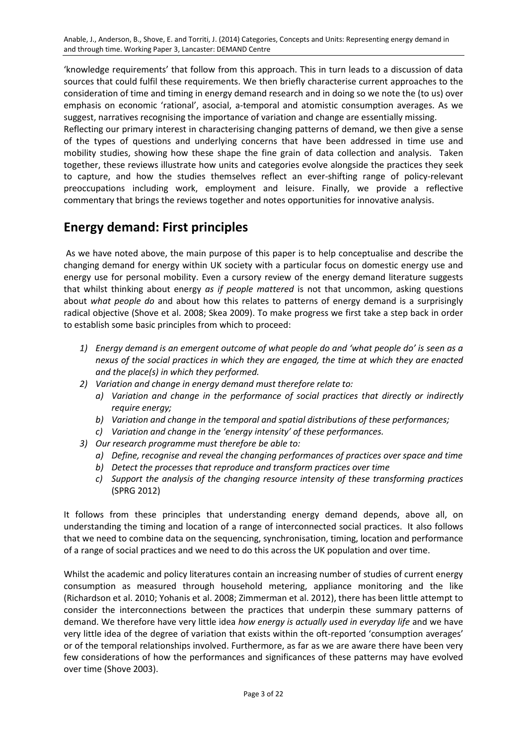'knowledge requirements' that follow from this approach. This in turn leads to a discussion of data sources that could fulfil these requirements. We then briefly characterise current approaches to the consideration of time and timing in energy demand research and in doing so we note the (to us) over emphasis on economic 'rational', asocial, a-temporal and atomistic consumption averages. As we suggest, narratives recognising the importance of variation and change are essentially missing.

Reflecting our primary interest in characterising changing patterns of demand, we then give a sense of the types of questions and underlying concerns that have been addressed in time use and mobility studies, showing how these shape the fine grain of data collection and analysis. Taken together, these reviews illustrate how units and categories evolve alongside the practices they seek to capture, and how the studies themselves reflect an ever-shifting range of policy-relevant preoccupations including work, employment and leisure. Finally, we provide a reflective commentary that brings the reviews together and notes opportunities for innovative analysis.

# **Energy demand: First principles**

As we have noted above, the main purpose of this paper is to help conceptualise and describe the changing demand for energy within UK society with a particular focus on domestic energy use and energy use for personal mobility. Even a cursory review of the energy demand literature suggests that whilst thinking about energy *as if people mattered* is not that uncommon, asking questions about *what people do* and about how this relates to patterns of energy demand is a surprisingly radical objective (Shove et al. 2008; Skea 2009). To make progress we first take a step back in order to establish some basic principles from which to proceed:

- *1) Energy demand is an emergent outcome of what people do and 'what people do' is seen as a nexus of the social practices in which they are engaged, the time at which they are enacted and the place(s) in which they performed.*
- *2) Variation and change in energy demand must therefore relate to:*
	- *a) Variation and change in the performance of social practices that directly or indirectly require energy;*
	- *b) Variation and change in the temporal and spatial distributions of these performances;*
	- *c) Variation and change in the 'energy intensity' of these performances.*
- *3) Our research programme must therefore be able to:*
	- *a) Define, recognise and reveal the changing performances of practices over space and time*
	- *b) Detect the processes that reproduce and transform practices over time*
	- *c) Support the analysis of the changing resource intensity of these transforming practices*  (SPRG 2012)

It follows from these principles that understanding energy demand depends, above all, on understanding the timing and location of a range of interconnected social practices. It also follows that we need to combine data on the sequencing, synchronisation, timing, location and performance of a range of social practices and we need to do this across the UK population and over time.

Whilst the academic and policy literatures contain an increasing number of studies of current energy consumption as measured through household metering, appliance monitoring and the like (Richardson et al. 2010; Yohanis et al. 2008; Zimmerman et al. 2012), there has been little attempt to consider the interconnections between the practices that underpin these summary patterns of demand. We therefore have very little idea *how energy is actually used in everyday life* and we have very little idea of the degree of variation that exists within the oft-reported 'consumption averages' or of the temporal relationships involved. Furthermore, as far as we are aware there have been very few considerations of how the performances and significances of these patterns may have evolved over time (Shove 2003).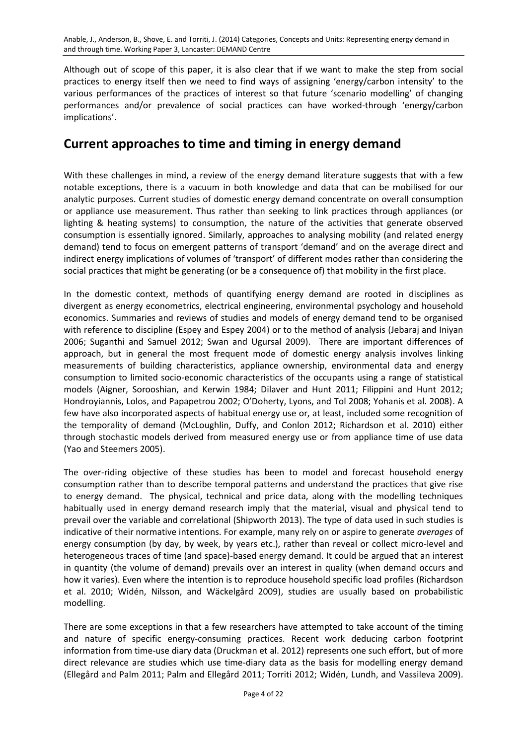Although out of scope of this paper, it is also clear that if we want to make the step from social practices to energy itself then we need to find ways of assigning 'energy/carbon intensity' to the various performances of the practices of interest so that future 'scenario modelling' of changing performances and/or prevalence of social practices can have worked-through 'energy/carbon implications'.

### **Current approaches to time and timing in energy demand**

With these challenges in mind, a review of the energy demand literature suggests that with a few notable exceptions, there is a vacuum in both knowledge and data that can be mobilised for our analytic purposes. Current studies of domestic energy demand concentrate on overall consumption or appliance use measurement. Thus rather than seeking to link practices through appliances (or lighting & heating systems) to consumption, the nature of the activities that generate observed consumption is essentially ignored. Similarly, approaches to analysing mobility (and related energy demand) tend to focus on emergent patterns of transport 'demand' and on the average direct and indirect energy implications of volumes of 'transport' of different modes rather than considering the social practices that might be generating (or be a consequence of) that mobility in the first place.

In the domestic context, methods of quantifying energy demand are rooted in disciplines as divergent as energy econometrics, electrical engineering, environmental psychology and household economics. Summaries and reviews of studies and models of energy demand tend to be organised with reference to discipline (Espey and Espey 2004) or to the method of analysis (Jebaraj and Iniyan 2006; Suganthi and Samuel 2012; Swan and Ugursal 2009). There are important differences of approach, but in general the most frequent mode of domestic energy analysis involves linking measurements of building characteristics, appliance ownership, environmental data and energy consumption to limited socio-economic characteristics of the occupants using a range of statistical models (Aigner, Sorooshian, and Kerwin 1984; Dilaver and Hunt 2011; Filippini and Hunt 2012; Hondroyiannis, Lolos, and Papapetrou 2002; O'Doherty, Lyons, and Tol 2008; Yohanis et al. 2008). A few have also incorporated aspects of habitual energy use or, at least, included some recognition of the temporality of demand (McLoughlin, Duffy, and Conlon 2012; Richardson et al. 2010) either through stochastic models derived from measured energy use or from appliance time of use data (Yao and Steemers 2005).

The over-riding objective of these studies has been to model and forecast household energy consumption rather than to describe temporal patterns and understand the practices that give rise to energy demand. The physical, technical and price data, along with the modelling techniques habitually used in energy demand research imply that the material, visual and physical tend to prevail over the variable and correlational (Shipworth 2013). The type of data used in such studies is indicative of their normative intentions. For example, many rely on or aspire to generate *averages* of energy consumption (by day, by week, by years etc.), rather than reveal or collect micro-level and heterogeneous traces of time (and space)-based energy demand. It could be argued that an interest in quantity (the volume of demand) prevails over an interest in quality (when demand occurs and how it varies). Even where the intention is to reproduce household specific load profiles (Richardson et al. 2010; Widén, Nilsson, and Wäckelgård 2009), studies are usually based on probabilistic modelling.

There are some exceptions in that a few researchers have attempted to take account of the timing and nature of specific energy-consuming practices. Recent work deducing carbon footprint information from time-use diary data (Druckman et al. 2012) represents one such effort, but of more direct relevance are studies which use time-diary data as the basis for modelling energy demand (Ellegård and Palm 2011; Palm and Ellegård 2011; Torriti 2012; Widén, Lundh, and Vassileva 2009).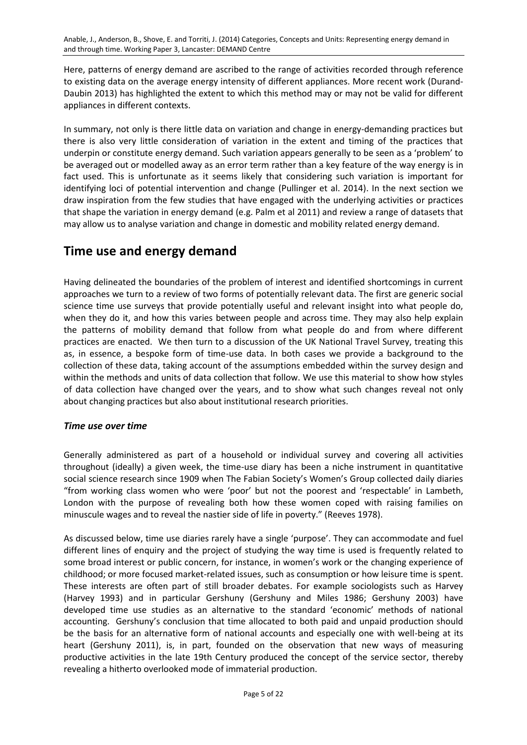Here, patterns of energy demand are ascribed to the range of activities recorded through reference to existing data on the average energy intensity of different appliances. More recent work (Durand-Daubin 2013) has highlighted the extent to which this method may or may not be valid for different appliances in different contexts.

In summary, not only is there little data on variation and change in energy-demanding practices but there is also very little consideration of variation in the extent and timing of the practices that underpin or constitute energy demand. Such variation appears generally to be seen as a 'problem' to be averaged out or modelled away as an error term rather than a key feature of the way energy is in fact used. This is unfortunate as it seems likely that considering such variation is important for identifying loci of potential intervention and change (Pullinger et al. 2014). In the next section we draw inspiration from the few studies that have engaged with the underlying activities or practices that shape the variation in energy demand (e.g. Palm et al 2011) and review a range of datasets that may allow us to analyse variation and change in domestic and mobility related energy demand.

### **Time use and energy demand**

Having delineated the boundaries of the problem of interest and identified shortcomings in current approaches we turn to a review of two forms of potentially relevant data. The first are generic social science time use surveys that provide potentially useful and relevant insight into what people do, when they do it, and how this varies between people and across time. They may also help explain the patterns of mobility demand that follow from what people do and from where different practices are enacted. We then turn to a discussion of the UK National Travel Survey, treating this as, in essence, a bespoke form of time-use data. In both cases we provide a background to the collection of these data, taking account of the assumptions embedded within the survey design and within the methods and units of data collection that follow. We use this material to show how styles of data collection have changed over the years, and to show what such changes reveal not only about changing practices but also about institutional research priorities.

### *Time use over time*

Generally administered as part of a household or individual survey and covering all activities throughout (ideally) a given week, the time-use diary has been a niche instrument in quantitative social science research since 1909 when The Fabian Society's Women's Group collected daily diaries "from working class women who were 'poor' but not the poorest and 'respectable' in Lambeth, London with the purpose of revealing both how these women coped with raising families on minuscule wages and to reveal the nastier side of life in poverty." (Reeves 1978).

As discussed below, time use diaries rarely have a single 'purpose'. They can accommodate and fuel different lines of enquiry and the project of studying the way time is used is frequently related to some broad interest or public concern, for instance, in women's work or the changing experience of childhood; or more focused market-related issues, such as consumption or how leisure time is spent. These interests are often part of still broader debates. For example sociologists such as Harvey (Harvey 1993) and in particular Gershuny (Gershuny and Miles 1986; Gershuny 2003) have developed time use studies as an alternative to the standard 'economic' methods of national accounting. Gershuny's conclusion that time allocated to both paid and unpaid production should be the basis for an alternative form of national accounts and especially one with well-being at its heart (Gershuny 2011), is, in part, founded on the observation that new ways of measuring productive activities in the late 19th Century produced the concept of the service sector, thereby revealing a hitherto overlooked mode of immaterial production.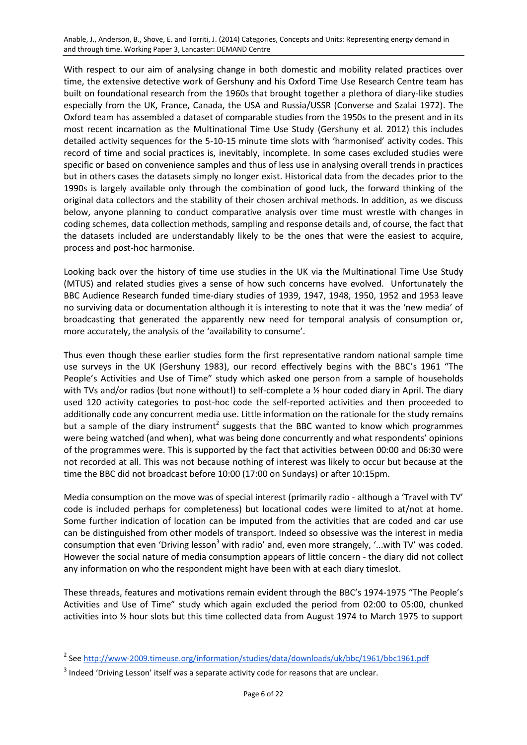Anable, J., Anderson, B., Shove, E. and Torriti, J. (2014) Categories, Concepts and Units: Representing energy demand in and through time. Working Paper 3, Lancaster: DEMAND Centre

With respect to our aim of analysing change in both domestic and mobility related practices over time, the extensive detective work of Gershuny and his Oxford Time Use Research Centre team has built on foundational research from the 1960sthat brought together a plethora of diary-like studies especially from the UK, France, Canada, the USA and Russia/USSR (Converse and Szalai 1972). The Oxford team has assembled a dataset of comparable studies from the 1950s to the present and in its most recent incarnation as the Multinational Time Use Study (Gershuny et al. 2012) this includes detailed activity sequences for the 5-10-15 minute time slots with 'harmonised' activity codes. This record of time and social practices is, inevitably, incomplete. In some cases excluded studies were specific or based on convenience samples and thus of less use in analysing overall trends in practices but in others cases the datasets simply no longer exist. Historical data from the decades prior to the 1990s is largely available only through the combination of good luck, the forward thinking of the original data collectors and the stability of their chosen archival methods. In addition, as we discuss below, anyone planning to conduct comparative analysis over time must wrestle with changes in coding schemes, data collection methods, sampling and response details and, of course, the fact that the datasets included are understandably likely to be the ones that were the easiest to acquire, process and post-hoc harmonise.

Looking back over the history of time use studies in the UK via the Multinational Time Use Study (MTUS) and related studies gives a sense of how such concerns have evolved. Unfortunately the BBC Audience Research funded time-diary studies of 1939, 1947, 1948, 1950, 1952 and 1953 leave no surviving data or documentation although it is interesting to note that it was the 'new media' of broadcasting that generated the apparently new need for temporal analysis of consumption or, more accurately, the analysis of the 'availability to consume'.

Thus even though these earlier studies form the first representative random national sample time use surveys in the UK (Gershuny 1983), our record effectively begins with the BBC's 1961 "The People's Activities and Use of Time" study which asked one person from a sample of households with TVs and/or radios (but none without!) to self-complete a  $\frac{1}{2}$  hour coded diary in April. The diary used 120 activity categories to post-hoc code the self-reported activities and then proceeded to additionally code any concurrent media use. Little information on the rationale for the study remains but a sample of the diary instrument<sup>2</sup> suggests that the BBC wanted to know which programmes were being watched (and when), what was being done concurrently and what respondents' opinions of the programmes were. This is supported by the fact that activities between 00:00 and 06:30 were not recorded at all. This was not because nothing of interest was likely to occur but because at the time the BBC did not broadcast before 10:00 (17:00 on Sundays) or after 10:15pm.

Media consumption on the move was of special interest (primarily radio - although a 'Travel with TV' code is included perhaps for completeness) but locational codes were limited to at/not at home. Some further indication of location can be imputed from the activities that are coded and car use can be distinguished from other models of transport. Indeed so obsessive was the interest in media consumption that even 'Driving lesson<sup>3</sup> with radio' and, even more strangely, '...with TV' was coded. However the social nature of media consumption appears of little concern - the diary did not collect any information on who the respondent might have been with at each diary timeslot.

These threads, features and motivations remain evident through the BBC's 1974-1975 "The People's Activities and Use of Time" study which again excluded the period from 02:00 to 05:00, chunked activities into ½ hour slots but this time collected data from August 1974 to March 1975 to support

<sup>&</sup>lt;sup>2</sup> Se[e http://www-2009.timeuse.org/information/studies/data/downloads/uk/bbc/1961/bbc1961.pdf](http://www-2009.timeuse.org/information/studies/data/downloads/uk/bbc/1961/bbc1961.pdf)

 $3$  Indeed 'Driving Lesson' itself was a separate activity code for reasons that are unclear.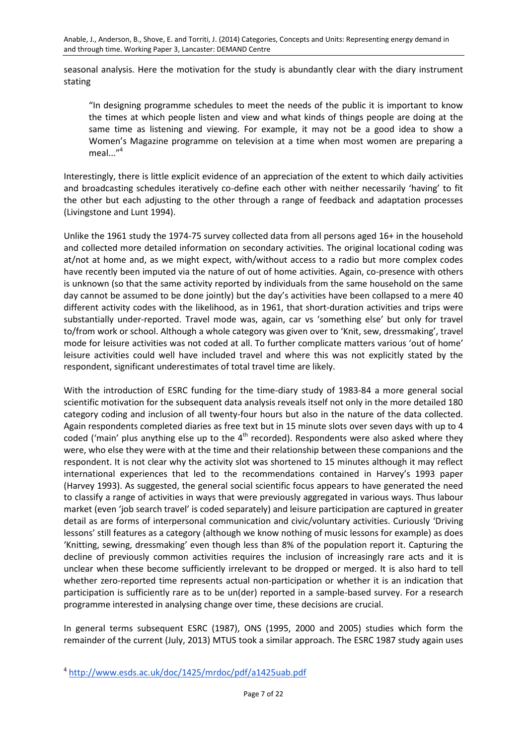seasonal analysis. Here the motivation for the study is abundantly clear with the diary instrument stating

"In designing programme schedules to meet the needs of the public it is important to know the times at which people listen and view and what kinds of things people are doing at the same time as listening and viewing. For example, it may not be a good idea to show a Women's Magazine programme on television at a time when most women are preparing a meal $\cdots$ <sup>4</sup>

Interestingly, there is little explicit evidence of an appreciation of the extent to which daily activities and broadcasting schedules iteratively co-define each other with neither necessarily 'having' to fit the other but each adjusting to the other through a range of feedback and adaptation processes (Livingstone and Lunt 1994).

Unlike the 1961 study the 1974-75 survey collected data from all persons aged 16+ in the household and collected more detailed information on secondary activities. The original locational coding was at/not at home and, as we might expect, with/without access to a radio but more complex codes have recently been imputed via the nature of out of home activities. Again, co-presence with others is unknown (so that the same activity reported by individuals from the same household on the same day cannot be assumed to be done jointly) but the day's activities have been collapsed to a mere 40 different activity codes with the likelihood, as in 1961, that short-duration activities and trips were substantially under-reported. Travel mode was, again, car vs 'something else' but only for travel to/from work or school. Although a whole category was given over to 'Knit, sew, dressmaking', travel mode for leisure activities was not coded at all. To further complicate matters various 'out of home' leisure activities could well have included travel and where this was not explicitly stated by the respondent, significant underestimates of total travel time are likely.

With the introduction of ESRC funding for the time-diary study of 1983-84 a more general social scientific motivation for the subsequent data analysis reveals itself not only in the more detailed 180 category coding and inclusion of all twenty-four hours but also in the nature of the data collected. Again respondents completed diaries as free text but in 15 minute slots over seven days with up to 4 coded ('main' plus anything else up to the 4<sup>th</sup> recorded). Respondents were also asked where they were, who else they were with at the time and their relationship between these companions and the respondent. It is not clear why the activity slot was shortened to 15 minutes although it may reflect international experiences that led to the recommendations contained in Harvey's 1993 paper (Harvey 1993). As suggested, the general social scientific focus appears to have generated the need to classify a range of activities in ways that were previously aggregated in various ways. Thus labour market (even 'job search travel' is coded separately) and leisure participation are captured in greater detail as are forms of interpersonal communication and civic/voluntary activities. Curiously 'Driving lessons' still features as a category (although we know nothing of music lessons for example) as does 'Knitting, sewing, dressmaking' even though less than 8% of the population report it. Capturing the decline of previously common activities requires the inclusion of increasingly rare acts and it is unclear when these become sufficiently irrelevant to be dropped or merged. It is also hard to tell whether zero-reported time represents actual non-participation or whether it is an indication that participation is sufficiently rare as to be un(der) reported in a sample-based survey. For a research programme interested in analysing change over time, these decisions are crucial.

In general terms subsequent ESRC (1987), ONS (1995, 2000 and 2005) studies which form the remainder of the current (July, 2013) MTUS took a similar approach. The ESRC 1987 study again uses

<sup>4</sup> http://www.esds.ac.uk/doc/1425/mrdoc/pdf/a1425uab.pdf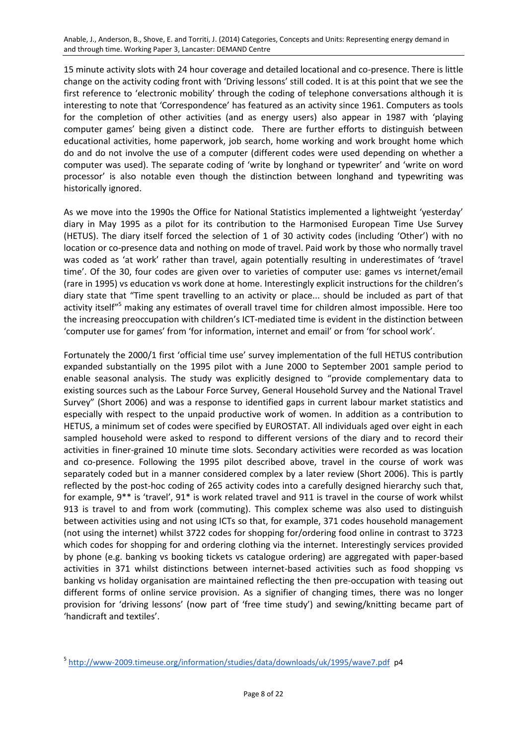Anable, J., Anderson, B., Shove, E. and Torriti, J. (2014) Categories, Concepts and Units: Representing energy demand in and through time. Working Paper 3, Lancaster: DEMAND Centre

15 minute activity slots with 24 hour coverage and detailed locational and co-presence. There is little change on the activity coding front with 'Driving lessons' still coded. It is at this point that we see the first reference to 'electronic mobility' through the coding of telephone conversations although it is interesting to note that 'Correspondence' has featured as an activity since 1961. Computers as tools for the completion of other activities (and as energy users) also appear in 1987 with 'playing computer games' being given a distinct code. There are further efforts to distinguish between educational activities, home paperwork, job search, home working and work brought home which do and do not involve the use of a computer (different codes were used depending on whether a computer was used). The separate coding of 'write by longhand or typewriter' and 'write on word processor' is also notable even though the distinction between longhand and typewriting was historically ignored.

As we move into the 1990s the Office for National Statistics implemented a lightweight 'yesterday' diary in May 1995 as a pilot for its contribution to the Harmonised European Time Use Survey (HETUS). The diary itself forced the selection of 1 of 30 activity codes (including 'Other') with no location or co-presence data and nothing on mode of travel. Paid work by those who normally travel was coded as 'at work' rather than travel, again potentially resulting in underestimates of 'travel time'. Of the 30, four codes are given over to varieties of computer use: games vs internet/email (rare in 1995) vs education vs work done at home. Interestingly explicit instructions for the children's diary state that "Time spent travelling to an activity or place... should be included as part of that activity itself"<sup>5</sup> making any estimates of overall travel time for children almost impossible. Here too the increasing preoccupation with children's ICT-mediated time is evident in the distinction between 'computer use for games' from 'for information, internet and email' or from 'for school work'.

Fortunately the 2000/1 first 'official time use' survey implementation of the full HETUS contribution expanded substantially on the 1995 pilot with a June 2000 to September 2001 sample period to enable seasonal analysis. The study was explicitly designed to "provide complementary data to existing sources such as the Labour Force Survey, General Household Survey and the National Travel Survey" (Short 2006) and was a response to identified gaps in current labour market statistics and especially with respect to the unpaid productive work of women. In addition as a contribution to HETUS, a minimum set of codes were specified by EUROSTAT. All individuals aged over eight in each sampled household were asked to respond to different versions of the diary and to record their activities in finer-grained 10 minute time slots. Secondary activities were recorded as was location and co-presence. Following the 1995 pilot described above, travel in the course of work was separately coded but in a manner considered complex by a later review (Short 2006). This is partly reflected by the post-hoc coding of 265 activity codes into a carefully designed hierarchy such that, for example, 9\*\* is 'travel', 91\* is work related travel and 911 is travel in the course of work whilst 913 is travel to and from work (commuting). This complex scheme was also used to distinguish between activities using and not using ICTs so that, for example, 371 codes household management (not using the internet) whilst 3722 codes for shopping for/ordering food online in contrast to 3723 which codes for shopping for and ordering clothing via the internet. Interestingly services provided by phone (e.g. banking vs booking tickets vs catalogue ordering) are aggregated with paper-based activities in 371 whilst distinctions between internet-based activities such as food shopping vs banking vs holiday organisation are maintained reflecting the then pre-occupation with teasing out different forms of online service provision. As a signifier of changing times, there was no longer provision for 'driving lessons' (now part of 'free time study') and sewing/knitting became part of 'handicraft and textiles'.

<sup>5</sup> <http://www-2009.timeuse.org/information/studies/data/downloads/uk/1995/wave7.pdf>p4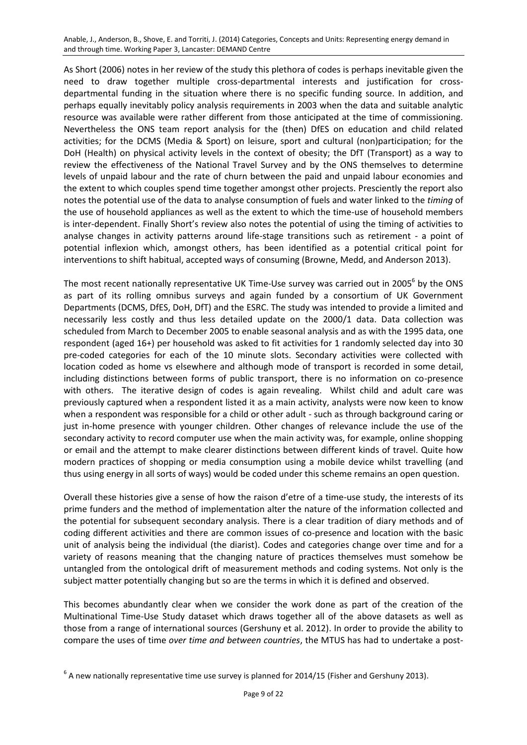Anable, J., Anderson, B., Shove, E. and Torriti, J. (2014) Categories, Concepts and Units: Representing energy demand in and through time. Working Paper 3, Lancaster: DEMAND Centre

As Short (2006) notes in her review of the study this plethora of codes is perhaps inevitable given the need to draw together multiple cross-departmental interests and justification for crossdepartmental funding in the situation where there is no specific funding source. In addition, and perhaps equally inevitably policy analysis requirements in 2003 when the data and suitable analytic resource was available were rather different from those anticipated at the time of commissioning. Nevertheless the ONS team report analysis for the (then) DfES on education and child related activities; for the DCMS (Media & Sport) on leisure, sport and cultural (non)participation; for the DoH (Health) on physical activity levels in the context of obesity; the DfT (Transport) as a way to review the effectiveness of the National Travel Survey and by the ONS themselves to determine levels of unpaid labour and the rate of churn between the paid and unpaid labour economies and the extent to which couples spend time together amongst other projects. Presciently the report also notes the potential use of the data to analyse consumption of fuels and water linked to the *timing* of the use of household appliances as well as the extent to which the time-use of household members is inter-dependent. Finally Short's review also notes the potential of using the timing of activities to analyse changes in activity patterns around life-stage transitions such as retirement - a point of potential inflexion which, amongst others, has been identified as a potential critical point for interventions to shift habitual, accepted ways of consuming (Browne, Medd, and Anderson 2013).

The most recent nationally representative UK Time-Use survey was carried out in 2005<sup>6</sup> by the ONS as part of its rolling omnibus surveys and again funded by a consortium of UK Government Departments (DCMS, DfES, DoH, DfT) and the ESRC. The study was intended to provide a limited and necessarily less costly and thus less detailed update on the 2000/1 data. Data collection was scheduled from March to December 2005 to enable seasonal analysis and as with the 1995 data, one respondent (aged 16+) per household was asked to fit activities for 1 randomly selected day into 30 pre-coded categories for each of the 10 minute slots. Secondary activities were collected with location coded as home vs elsewhere and although mode of transport is recorded in some detail, including distinctions between forms of public transport, there is no information on co-presence with others. The iterative design of codes is again revealing. Whilst child and adult care was previously captured when a respondent listed it as a main activity, analysts were now keen to know when a respondent was responsible for a child or other adult - such as through background caring or just in-home presence with younger children. Other changes of relevance include the use of the secondary activity to record computer use when the main activity was, for example, online shopping or email and the attempt to make clearer distinctions between different kinds of travel. Quite how modern practices of shopping or media consumption using a mobile device whilst travelling (and thus using energy in all sorts of ways) would be coded under this scheme remains an open question.

Overall these histories give a sense of how the raison d'etre of a time-use study, the interests of its prime funders and the method of implementation alter the nature of the information collected and the potential for subsequent secondary analysis. There is a clear tradition of diary methods and of coding different activities and there are common issues of co-presence and location with the basic unit of analysis being the individual (the diarist). Codes and categories change over time and for a variety of reasons meaning that the changing nature of practices themselves must somehow be untangled from the ontological drift of measurement methods and coding systems. Not only is the subject matter potentially changing but so are the terms in which it is defined and observed.

This becomes abundantly clear when we consider the work done as part of the creation of the Multinational Time-Use Study dataset which draws together all of the above datasets as well as those from a range of international sources (Gershuny et al. 2012). In order to provide the ability to compare the uses of time *over time and between countries*, the MTUS has had to undertake a post-

 ${}^{6}$  A new nationally representative time use survey is planned for 2014/15 (Fisher and Gershuny 2013).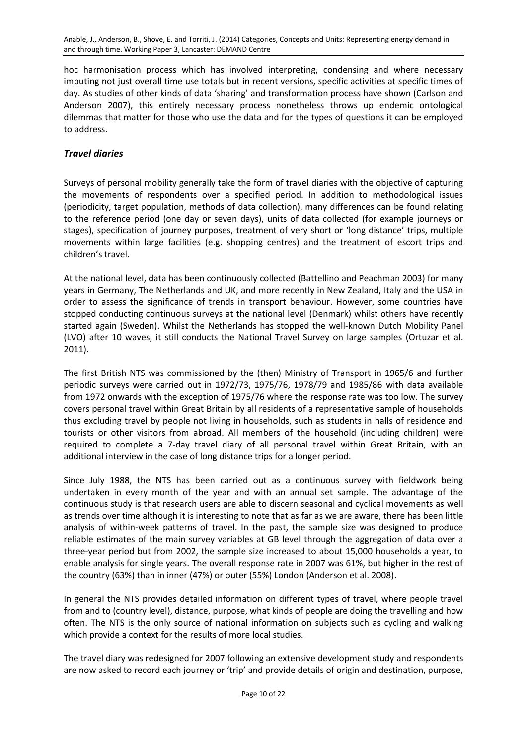hoc harmonisation process which has involved interpreting, condensing and where necessary imputing not just overall time use totals but in recent versions, specific activities at specific times of day. As studies of other kinds of data 'sharing' and transformation process have shown (Carlson and Anderson 2007), this entirely necessary process nonetheless throws up endemic ontological dilemmas that matter for those who use the data and for the types of questions it can be employed to address.

### *Travel diaries*

Surveys of personal mobility generally take the form of travel diaries with the objective of capturing the movements of respondents over a specified period. In addition to methodological issues (periodicity, target population, methods of data collection), many differences can be found relating to the reference period (one day or seven days), units of data collected (for example journeys or stages), specification of journey purposes, treatment of very short or 'long distance' trips, multiple movements within large facilities (e.g. shopping centres) and the treatment of escort trips and children's travel.

At the national level, data has been continuously collected (Battellino and Peachman 2003) for many years in Germany, The Netherlands and UK, and more recently in New Zealand, Italy and the USA in order to assess the significance of trends in transport behaviour. However, some countries have stopped conducting continuous surveys at the national level (Denmark) whilst others have recently started again (Sweden). Whilst the Netherlands has stopped the well-known Dutch Mobility Panel (LVO) after 10 waves, it still conducts the National Travel Survey on large samples (Ortuzar et al. 2011).

The first British NTS was commissioned by the (then) Ministry of Transport in 1965/6 and further periodic surveys were carried out in 1972/73, 1975/76, 1978/79 and 1985/86 with data available from 1972 onwards with the exception of 1975/76 where the response rate was too low. The survey covers personal travel within Great Britain by all residents of a representative sample of households thus excluding travel by people not living in households, such as students in halls of residence and tourists or other visitors from abroad. All members of the household (including children) were required to complete a 7-day travel diary of all personal travel within Great Britain, with an additional interview in the case of long distance trips for a longer period.

Since July 1988, the NTS has been carried out as a continuous survey with fieldwork being undertaken in every month of the year and with an annual set sample. The advantage of the continuous study is that research users are able to discern seasonal and cyclical movements as well as trends over time although it is interesting to note that as far as we are aware, there has been little analysis of within-week patterns of travel. In the past, the sample size was designed to produce reliable estimates of the main survey variables at GB level through the aggregation of data over a three-year period but from 2002, the sample size increased to about 15,000 households a year, to enable analysis for single years. The overall response rate in 2007 was 61%, but higher in the rest of the country (63%) than in inner (47%) or outer (55%) London (Anderson et al. 2008).

In general the NTS provides detailed information on different types of travel, where people travel from and to (country level), distance, purpose, what kinds of people are doing the travelling and how often. The NTS is the only source of national information on subjects such as cycling and walking which provide a context for the results of more local studies.

The travel diary was redesigned for 2007 following an extensive development study and respondents are now asked to record each journey or 'trip' and provide details of origin and destination, purpose,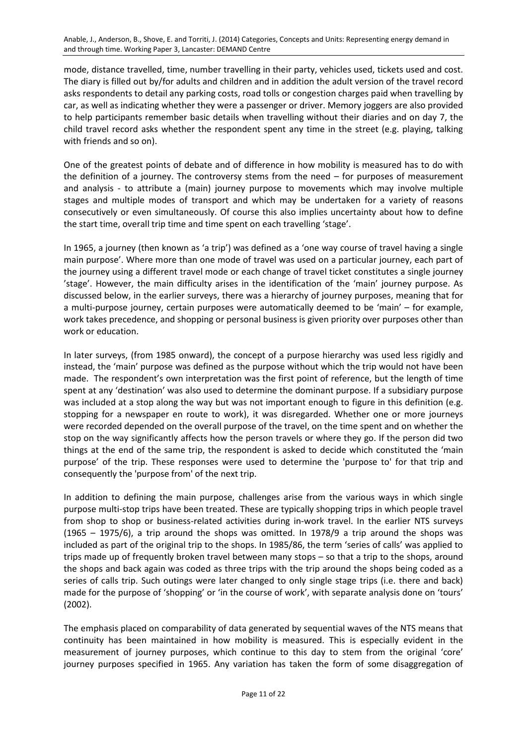mode, distance travelled, time, number travelling in their party, vehicles used, tickets used and cost. The diary is filled out by/for adults and children and in addition the adult version of the travel record asks respondents to detail any parking costs, road tolls or congestion charges paid when travelling by car, as well as indicating whether they were a passenger or driver. Memory joggers are also provided to help participants remember basic details when travelling without their diaries and on day 7, the child travel record asks whether the respondent spent any time in the street (e.g. playing, talking with friends and so on).

One of the greatest points of debate and of difference in how mobility is measured has to do with the definition of a journey. The controversy stems from the need – for purposes of measurement and analysis - to attribute a (main) journey purpose to movements which may involve multiple stages and multiple modes of transport and which may be undertaken for a variety of reasons consecutively or even simultaneously. Of course this also implies uncertainty about how to define the start time, overall trip time and time spent on each travelling 'stage'.

In 1965, a journey (then known as 'a trip') was defined as a 'one way course of travel having a single main purpose'. Where more than one mode of travel was used on a particular journey, each part of the journey using a different travel mode or each change of travel ticket constitutes a single journey 'stage'. However, the main difficulty arises in the identification of the 'main' journey purpose. As discussed below, in the earlier surveys, there was a hierarchy of journey purposes, meaning that for a multi-purpose journey, certain purposes were automatically deemed to be 'main' – for example, work takes precedence, and shopping or personal business is given priority over purposes other than work or education.

In later surveys, (from 1985 onward), the concept of a purpose hierarchy was used less rigidly and instead, the 'main' purpose was defined as the purpose without which the trip would not have been made. The respondent's own interpretation was the first point of reference, but the length of time spent at any 'destination' was also used to determine the dominant purpose. If a subsidiary purpose was included at a stop along the way but was not important enough to figure in this definition (e.g. stopping for a newspaper en route to work), it was disregarded. Whether one or more journeys were recorded depended on the overall purpose of the travel, on the time spent and on whether the stop on the way significantly affects how the person travels or where they go. If the person did two things at the end of the same trip, the respondent is asked to decide which constituted the 'main purpose' of the trip. These responses were used to determine the 'purpose to' for that trip and consequently the 'purpose from' of the next trip.

In addition to defining the main purpose, challenges arise from the various ways in which single purpose multi-stop trips have been treated. These are typically shopping trips in which people travel from shop to shop or business-related activities during in-work travel. In the earlier NTS surveys (1965 – 1975/6), a trip around the shops was omitted. In 1978/9 a trip around the shops was included as part of the original trip to the shops. In 1985/86, the term 'series of calls' was applied to trips made up of frequently broken travel between many stops – so that a trip to the shops, around the shops and back again was coded as three trips with the trip around the shops being coded as a series of calls trip. Such outings were later changed to only single stage trips (i.e. there and back) made for the purpose of 'shopping' or 'in the course of work', with separate analysis done on 'tours' (2002).

The emphasis placed on comparability of data generated by sequential waves of the NTS means that continuity has been maintained in how mobility is measured. This is especially evident in the measurement of journey purposes, which continue to this day to stem from the original 'core' journey purposes specified in 1965. Any variation has taken the form of some disaggregation of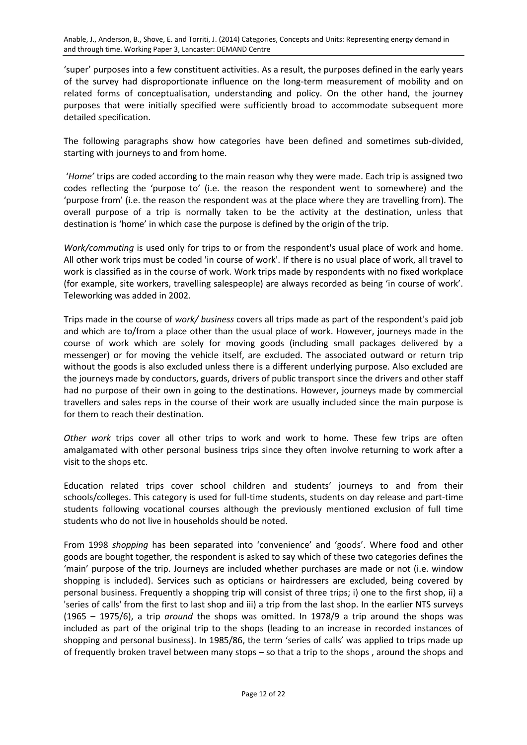'super' purposes into a few constituent activities. As a result, the purposes defined in the early years of the survey had disproportionate influence on the long-term measurement of mobility and on related forms of conceptualisation, understanding and policy. On the other hand, the journey purposes that were initially specified were sufficiently broad to accommodate subsequent more detailed specification.

The following paragraphs show how categories have been defined and sometimes sub-divided, starting with journeys to and from home.

'*Home'* trips are coded according to the main reason why they were made. Each trip is assigned two codes reflecting the 'purpose to' (i.e. the reason the respondent went to somewhere) and the 'purpose from' (i.e. the reason the respondent was at the place where they are travelling from). The overall purpose of a trip is normally taken to be the activity at the destination, unless that destination is 'home' in which case the purpose is defined by the origin of the trip.

*Work/commuting* is used only for trips to or from the respondent's usual place of work and home. All other work trips must be coded 'in course of work'. If there is no usual place of work, all travel to work is classified as in the course of work. Work trips made by respondents with no fixed workplace (for example, site workers, travelling salespeople) are always recorded as being 'in course of work'. Teleworking was added in 2002.

Trips made in the course of *work/ business* covers all trips made as part of the respondent's paid job and which are to/from a place other than the usual place of work. However, journeys made in the course of work which are solely for moving goods (including small packages delivered by a messenger) or for moving the vehicle itself, are excluded. The associated outward or return trip without the goods is also excluded unless there is a different underlying purpose. Also excluded are the journeys made by conductors, guards, drivers of public transport since the drivers and other staff had no purpose of their own in going to the destinations. However, journeys made by commercial travellers and sales reps in the course of their work are usually included since the main purpose is for them to reach their destination.

*Other work* trips cover all other trips to work and work to home. These few trips are often amalgamated with other personal business trips since they often involve returning to work after a visit to the shops etc.

Education related trips cover school children and students' journeys to and from their schools/colleges. This category is used for full-time students, students on day release and part-time students following vocational courses although the previously mentioned exclusion of full time students who do not live in households should be noted.

From 1998 *shopping* has been separated into 'convenience' and 'goods'. Where food and other goods are bought together, the respondent is asked to say which of these two categories defines the 'main' purpose of the trip. Journeys are included whether purchases are made or not (i.e. window shopping is included). Services such as opticians or hairdressers are excluded, being covered by personal business. Frequently a shopping trip will consist of three trips; i) one to the first shop, ii) a 'series of calls' from the first to last shop and iii) a trip from the last shop. In the earlier NTS surveys (1965 – 1975/6), a trip *around* the shops was omitted. In 1978/9 a trip around the shops was included as part of the original trip to the shops (leading to an increase in recorded instances of shopping and personal business). In 1985/86, the term 'series of calls' was applied to trips made up of frequently broken travel between many stops – so that a trip to the shops , around the shops and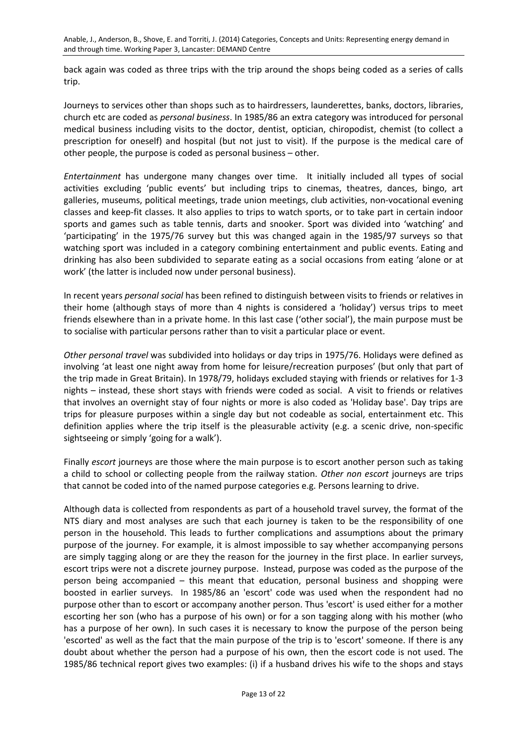back again was coded as three trips with the trip around the shops being coded as a series of calls trip.

Journeys to services other than shops such as to hairdressers, launderettes, banks, doctors, libraries, church etc are coded as *personal business*. In 1985/86 an extra category was introduced for personal medical business including visits to the doctor, dentist, optician, chiropodist, chemist (to collect a prescription for oneself) and hospital (but not just to visit). If the purpose is the medical care of other people, the purpose is coded as personal business – other.

*Entertainment* has undergone many changes over time. It initially included all types of social activities excluding 'public events' but including trips to cinemas, theatres, dances, bingo, art galleries, museums, political meetings, trade union meetings, club activities, non-vocational evening classes and keep-fit classes. It also applies to trips to watch sports, or to take part in certain indoor sports and games such as table tennis, darts and snooker. Sport was divided into 'watching' and 'participating' in the 1975/76 survey but this was changed again in the 1985/97 surveys so that watching sport was included in a category combining entertainment and public events. Eating and drinking has also been subdivided to separate eating as a social occasions from eating 'alone or at work' (the latter is included now under personal business).

In recent years *personal social* has been refined to distinguish between visits to friends or relatives in their home (although stays of more than 4 nights is considered a 'holiday') versus trips to meet friends elsewhere than in a private home. In this last case ('other social'), the main purpose must be to socialise with particular persons rather than to visit a particular place or event.

*Other personal travel* was subdivided into holidays or day trips in 1975/76. Holidays were defined as involving 'at least one night away from home for leisure/recreation purposes' (but only that part of the trip made in Great Britain). In 1978/79, holidays excluded staying with friends or relatives for 1-3 nights – instead, these short stays with friends were coded as social. A visit to friends or relatives that involves an overnight stay of four nights or more is also coded as 'Holiday base'. Day trips are trips for pleasure purposes within a single day but not codeable as social, entertainment etc. This definition applies where the trip itself is the pleasurable activity (e.g. a scenic drive, non-specific sightseeing or simply 'going for a walk').

Finally *escort* journeys are those where the main purpose is to escort another person such as taking a child to school or collecting people from the railway station. *Other non escort* journeys are trips that cannot be coded into of the named purpose categories e.g. Persons learning to drive.

Although data is collected from respondents as part of a household travel survey, the format of the NTS diary and most analyses are such that each journey is taken to be the responsibility of one person in the household. This leads to further complications and assumptions about the primary purpose of the journey. For example, it is almost impossible to say whether accompanying persons are simply tagging along or are they the reason for the journey in the first place. In earlier surveys, escort trips were not a discrete journey purpose. Instead, purpose was coded as the purpose of the person being accompanied – this meant that education, personal business and shopping were boosted in earlier surveys. In 1985/86 an 'escort' code was used when the respondent had no purpose other than to escort or accompany another person. Thus 'escort' is used either for a mother escorting her son (who has a purpose of his own) or for a son tagging along with his mother (who has a purpose of her own). In such cases it is necessary to know the purpose of the person being 'escorted' as well as the fact that the main purpose of the trip is to 'escort' someone. If there is any doubt about whether the person had a purpose of his own, then the escort code is not used. The 1985/86 technical report gives two examples: (i) if a husband drives his wife to the shops and stays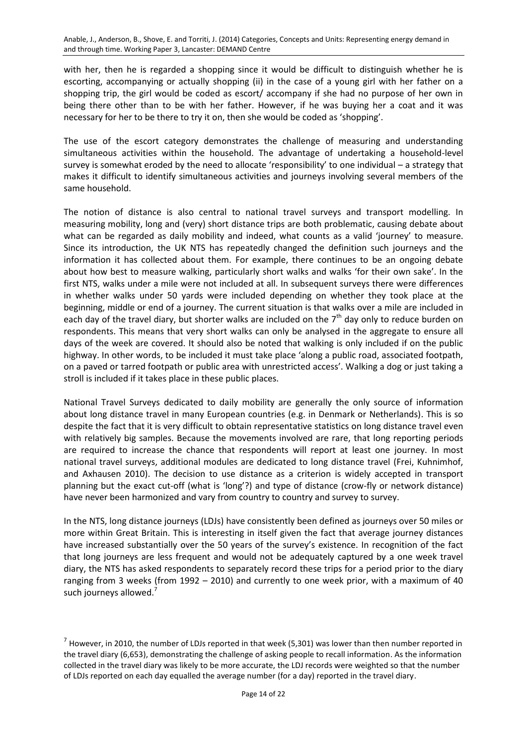with her, then he is regarded a shopping since it would be difficult to distinguish whether he is escorting, accompanying or actually shopping (ii) in the case of a young girl with her father on a shopping trip, the girl would be coded as escort/ accompany if she had no purpose of her own in being there other than to be with her father. However, if he was buying her a coat and it was necessary for her to be there to try it on, then she would be coded as 'shopping'.

The use of the escort category demonstrates the challenge of measuring and understanding simultaneous activities within the household. The advantage of undertaking a household-level survey is somewhat eroded by the need to allocate 'responsibility' to one individual – a strategy that makes it difficult to identify simultaneous activities and journeys involving several members of the same household.

The notion of distance is also central to national travel surveys and transport modelling. In measuring mobility, long and (very) short distance trips are both problematic, causing debate about what can be regarded as daily mobility and indeed, what counts as a valid 'journey' to measure. Since its introduction, the UK NTS has repeatedly changed the definition such journeys and the information it has collected about them. For example, there continues to be an ongoing debate about how best to measure walking, particularly short walks and walks 'for their own sake'. In the first NTS, walks under a mile were not included at all. In subsequent surveys there were differences in whether walks under 50 yards were included depending on whether they took place at the beginning, middle or end of a journey. The current situation is that walks over a mile are included in each day of the travel diary, but shorter walks are included on the  $7<sup>th</sup>$  day only to reduce burden on respondents. This means that very short walks can only be analysed in the aggregate to ensure all days of the week are covered. It should also be noted that walking is only included if on the public highway. In other words, to be included it must take place 'along a public road, associated footpath, on a paved or tarred footpath or public area with unrestricted access'. Walking a dog or just taking a stroll is included if it takes place in these public places.

National Travel Surveys dedicated to daily mobility are generally the only source of information about long distance travel in many European countries (e.g. in Denmark or Netherlands). This is so despite the fact that it is very difficult to obtain representative statistics on long distance travel even with relatively big samples. Because the movements involved are rare, that long reporting periods are required to increase the chance that respondents will report at least one journey. In most national travel surveys, additional modules are dedicated to long distance travel (Frei, Kuhnimhof, and Axhausen 2010). The decision to use distance as a criterion is widely accepted in transport planning but the exact cut-off (what is 'long'?) and type of distance (crow-fly or network distance) have never been harmonized and vary from country to country and survey to survey.

In the NTS, long distance journeys (LDJs) have consistently been defined as journeys over 50 miles or more within Great Britain. This is interesting in itself given the fact that average journey distances have increased substantially over the 50 years of the survey's existence. In recognition of the fact that long journeys are less frequent and would not be adequately captured by a one week travel diary, the NTS has asked respondents to separately record these trips for a period prior to the diary ranging from 3 weeks (from 1992 – 2010) and currently to one week prior, with a maximum of 40 such journeys allowed.<sup>7</sup>

 $<sup>7</sup>$  However, in 2010, the number of LDJs reported in that week (5,301) was lower than then number reported in</sup> the travel diary (6,653), demonstrating the challenge of asking people to recall information. As the information collected in the travel diary was likely to be more accurate, the LDJ records were weighted so that the number of LDJs reported on each day equalled the average number (for a day) reported in the travel diary.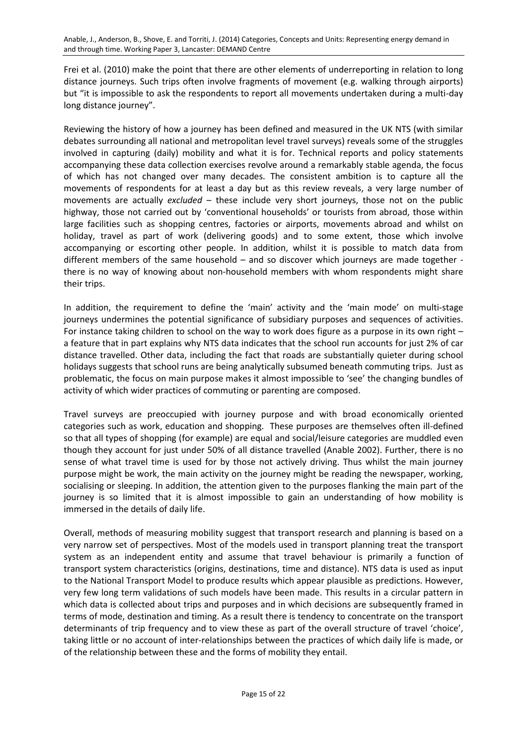Frei et al. (2010) make the point that there are other elements of underreporting in relation to long distance journeys. Such trips often involve fragments of movement (e.g. walking through airports) but "it is impossible to ask the respondents to report all movements undertaken during a multi-day long distance journey".

Reviewing the history of how a journey has been defined and measured in the UK NTS (with similar debates surrounding all national and metropolitan level travel surveys) reveals some of the struggles involved in capturing (daily) mobility and what it is for. Technical reports and policy statements accompanying these data collection exercises revolve around a remarkably stable agenda, the focus of which has not changed over many decades. The consistent ambition is to capture all the movements of respondents for at least a day but as this review reveals, a very large number of movements are actually *excluded* – these include very short journeys, those not on the public highway, those not carried out by 'conventional households' or tourists from abroad, those within large facilities such as shopping centres, factories or airports, movements abroad and whilst on holiday, travel as part of work (delivering goods) and to some extent, those which involve accompanying or escorting other people. In addition, whilst it is possible to match data from different members of the same household – and so discover which journeys are made together there is no way of knowing about non-household members with whom respondents might share their trips.

In addition, the requirement to define the 'main' activity and the 'main mode' on multi-stage journeys undermines the potential significance of subsidiary purposes and sequences of activities. For instance taking children to school on the way to work does figure as a purpose in its own right – a feature that in part explains why NTS data indicates that the school run accounts for just 2% of car distance travelled. Other data, including the fact that roads are substantially quieter during school holidays suggests that school runs are being analytically subsumed beneath commuting trips. Just as problematic, the focus on main purpose makes it almost impossible to 'see' the changing bundles of activity of which wider practices of commuting or parenting are composed.

Travel surveys are preoccupied with journey purpose and with broad economically oriented categories such as work, education and shopping. These purposes are themselves often ill-defined so that all types of shopping (for example) are equal and social/leisure categories are muddled even though they account for just under 50% of all distance travelled (Anable 2002). Further, there is no sense of what travel time is used for by those not actively driving. Thus whilst the main journey purpose might be work, the main activity on the journey might be reading the newspaper, working, socialising or sleeping. In addition, the attention given to the purposes flanking the main part of the journey is so limited that it is almost impossible to gain an understanding of how mobility is immersed in the details of daily life.

Overall, methods of measuring mobility suggest that transport research and planning is based on a very narrow set of perspectives. Most of the models used in transport planning treat the transport system as an independent entity and assume that travel behaviour is primarily a function of transport system characteristics (origins, destinations, time and distance). NTS data is used as input to the National Transport Model to produce results which appear plausible as predictions. However, very few long term validations of such models have been made. This results in a circular pattern in which data is collected about trips and purposes and in which decisions are subsequently framed in terms of mode, destination and timing. As a result there is tendency to concentrate on the transport determinants of trip frequency and to view these as part of the overall structure of travel 'choice', taking little or no account of inter-relationships between the practices of which daily life is made, or of the relationship between these and the forms of mobility they entail.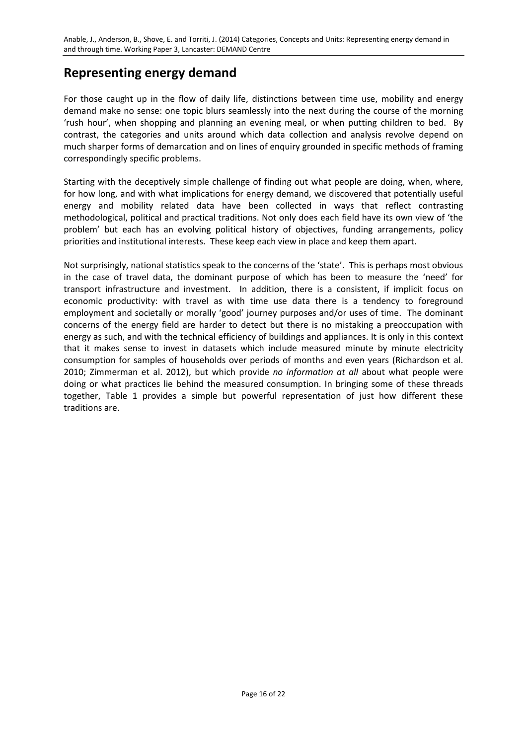# **Representing energy demand**

For those caught up in the flow of daily life, distinctions between time use, mobility and energy demand make no sense: one topic blurs seamlessly into the next during the course of the morning 'rush hour', when shopping and planning an evening meal, or when putting children to bed. By contrast, the categories and units around which data collection and analysis revolve depend on much sharper forms of demarcation and on lines of enquiry grounded in specific methods of framing correspondingly specific problems.

Starting with the deceptively simple challenge of finding out what people are doing, when, where, for how long, and with what implications for energy demand, we discovered that potentially useful energy and mobility related data have been collected in ways that reflect contrasting methodological, political and practical traditions. Not only does each field have its own view of 'the problem' but each has an evolving political history of objectives, funding arrangements, policy priorities and institutional interests. These keep each view in place and keep them apart.

Not surprisingly, national statistics speak to the concerns of the 'state'. This is perhaps most obvious in the case of travel data, the dominant purpose of which has been to measure the 'need' for transport infrastructure and investment. In addition, there is a consistent, if implicit focus on economic productivity: with travel as with time use data there is a tendency to foreground employment and societally or morally 'good' journey purposes and/or uses of time. The dominant concerns of the energy field are harder to detect but there is no mistaking a preoccupation with energy as such, and with the technical efficiency of buildings and appliances. It is only in this context that it makes sense to invest in datasets which include measured minute by minute electricity consumption for samples of households over periods of months and even years (Richardson et al. 2010; Zimmerman et al. 2012), but which provide *no information at all* about what people were doing or what practices lie behind the measured consumption. In bringing some of these threads together, Table 1 provides a simple but powerful representation of just how different these traditions are.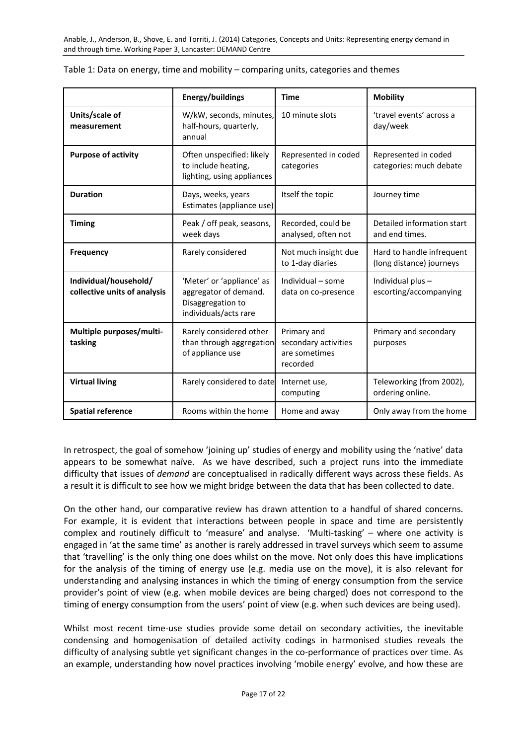|                                                       | Energy/buildings                                                                                 | <b>Time</b>                                                      | <b>Mobility</b>                                       |
|-------------------------------------------------------|--------------------------------------------------------------------------------------------------|------------------------------------------------------------------|-------------------------------------------------------|
| Units/scale of<br>measurement                         | W/kW, seconds, minutes,<br>half-hours, quarterly,<br>annual                                      | 10 minute slots                                                  | 'travel events' across a<br>day/week                  |
| <b>Purpose of activity</b>                            | Often unspecified: likely<br>to include heating,<br>lighting, using appliances                   | Represented in coded<br>categories                               | Represented in coded<br>categories: much debate       |
| <b>Duration</b>                                       | Days, weeks, years<br>Estimates (appliance use)                                                  | Itself the topic                                                 | Journey time                                          |
| <b>Timing</b>                                         | Peak / off peak, seasons,<br>week days                                                           | Recorded, could be<br>analysed, often not                        | Detailed information start<br>and end times.          |
| <b>Frequency</b>                                      | Rarely considered                                                                                | Not much insight due<br>to 1-day diaries                         | Hard to handle infrequent<br>(long distance) journeys |
| Individual/household/<br>collective units of analysis | 'Meter' or 'appliance' as<br>aggregator of demand.<br>Disaggregation to<br>individuals/acts rare | Individual - some<br>data on co-presence                         | Individual plus-<br>escorting/accompanying            |
| Multiple purposes/multi-<br>tasking                   | Rarely considered other<br>than through aggregation<br>of appliance use                          | Primary and<br>secondary activities<br>are sometimes<br>recorded | Primary and secondary<br>purposes                     |
| <b>Virtual living</b>                                 | Rarely considered to date                                                                        | Internet use,<br>computing                                       | Teleworking (from 2002),<br>ordering online.          |
| <b>Spatial reference</b>                              | Rooms within the home                                                                            | Home and away                                                    | Only away from the home                               |

| Table 1: Data on energy, time and mobility - comparing units, categories and themes |  |  |  |  |
|-------------------------------------------------------------------------------------|--|--|--|--|
|-------------------------------------------------------------------------------------|--|--|--|--|

In retrospect, the goal of somehow 'joining up' studies of energy and mobility using the 'native' data appears to be somewhat naïve. As we have described, such a project runs into the immediate difficulty that issues of *demand* are conceptualised in radically different ways across these fields. As a result it is difficult to see how we might bridge between the data that has been collected to date.

On the other hand, our comparative review has drawn attention to a handful of shared concerns. For example, it is evident that interactions between people in space and time are persistently complex and routinely difficult to 'measure' and analyse. 'Multi-tasking' – where one activity is engaged in 'at the same time' as another is rarely addressed in travel surveys which seem to assume that 'travelling' is the only thing one does whilst on the move. Not only does this have implications for the analysis of the timing of energy use (e.g. media use on the move), it is also relevant for understanding and analysing instances in which the timing of energy consumption from the service provider's point of view (e.g. when mobile devices are being charged) does not correspond to the timing of energy consumption from the users' point of view (e.g. when such devices are being used).

Whilst most recent time-use studies provide some detail on secondary activities, the inevitable condensing and homogenisation of detailed activity codings in harmonised studies reveals the difficulty of analysing subtle yet significant changes in the co-performance of practices over time. As an example, understanding how novel practices involving 'mobile energy' evolve, and how these are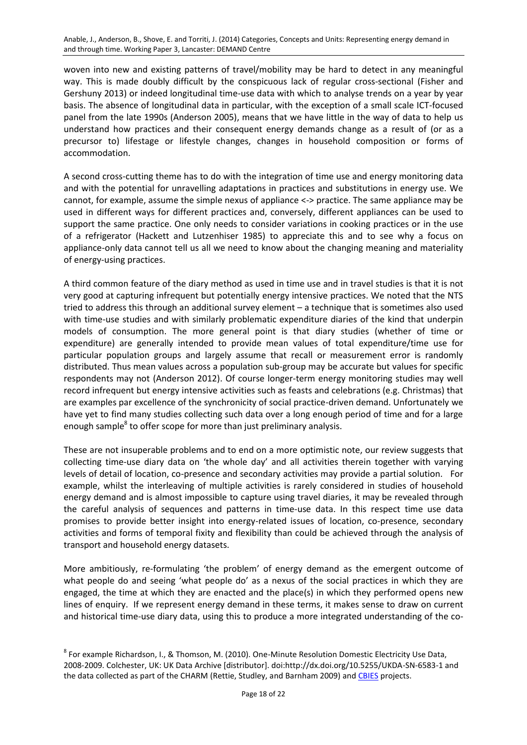woven into new and existing patterns of travel/mobility may be hard to detect in any meaningful way. This is made doubly difficult by the conspicuous lack of regular cross-sectional (Fisher and Gershuny 2013) or indeed longitudinal time-use data with which to analyse trends on a year by year basis. The absence of longitudinal data in particular, with the exception of a small scale ICT-focused panel from the late 1990s (Anderson 2005), means that we have little in the way of data to help us understand how practices and their consequent energy demands change as a result of (or as a precursor to) lifestage or lifestyle changes, changes in household composition or forms of accommodation.

A second cross-cutting theme has to do with the integration of time use and energy monitoring data and with the potential for unravelling adaptations in practices and substitutions in energy use. We cannot, for example, assume the simple nexus of appliance <-> practice. The same appliance may be used in different ways for different practices and, conversely, different appliances can be used to support the same practice. One only needs to consider variations in cooking practices or in the use of a refrigerator (Hackett and Lutzenhiser 1985) to appreciate this and to see why a focus on appliance-only data cannot tell us all we need to know about the changing meaning and materiality of energy-using practices.

A third common feature of the diary method as used in time use and in travel studies is that it is not very good at capturing infrequent but potentially energy intensive practices. We noted that the NTS tried to address this through an additional survey element – a technique that is sometimes also used with time-use studies and with similarly problematic expenditure diaries of the kind that underpin models of consumption. The more general point is that diary studies (whether of time or expenditure) are generally intended to provide mean values of total expenditure/time use for particular population groups and largely assume that recall or measurement error is randomly distributed. Thus mean values across a population sub-group may be accurate but values for specific respondents may not (Anderson 2012). Of course longer-term energy monitoring studies may well record infrequent but energy intensive activities such as feasts and celebrations (e.g. Christmas) that are examples par excellence of the synchronicity of social practice-driven demand. Unfortunately we have yet to find many studies collecting such data over a long enough period of time and for a large enough sample<sup>8</sup> to offer scope for more than just preliminary analysis.

These are not insuperable problems and to end on a more optimistic note, our review suggests that collecting time-use diary data on 'the whole day' and all activities therein together with varying levels of detail of location, co-presence and secondary activities may provide a partial solution. For example, whilst the interleaving of multiple activities is rarely considered in studies of household energy demand and is almost impossible to capture using travel diaries, it may be revealed through the careful analysis of sequences and patterns in time-use data. In this respect time use data promises to provide better insight into energy-related issues of location, co-presence, secondary activities and forms of temporal fixity and flexibility than could be achieved through the analysis of transport and household energy datasets.

More ambitiously, re-formulating 'the problem' of energy demand as the emergent outcome of what people do and seeing 'what people do' as a nexus of the social practices in which they are engaged, the time at which they are enacted and the place(s) in which they performed opens new lines of enquiry. If we represent energy demand in these terms, it makes sense to draw on current and historical time-use diary data, using this to produce a more integrated understanding of the co-

<sup>&</sup>lt;sup>8</sup> For example Richardson, I., & Thomson, M. (2010). One-Minute Resolution Domestic Electricity Use Data, 2008-2009. Colchester, UK: UK Data Archive [distributor]. doi:http://dx.doi.org/10.5255/UKDA-SN-6583-1 and the data collected as part of the CHARM (Rettie, Studley, and Barnham 2009) an[d CBIES](http://www.energy.soton.ac.uk/the-role-of-community-based-initiatives-in-energy-saving/) projects.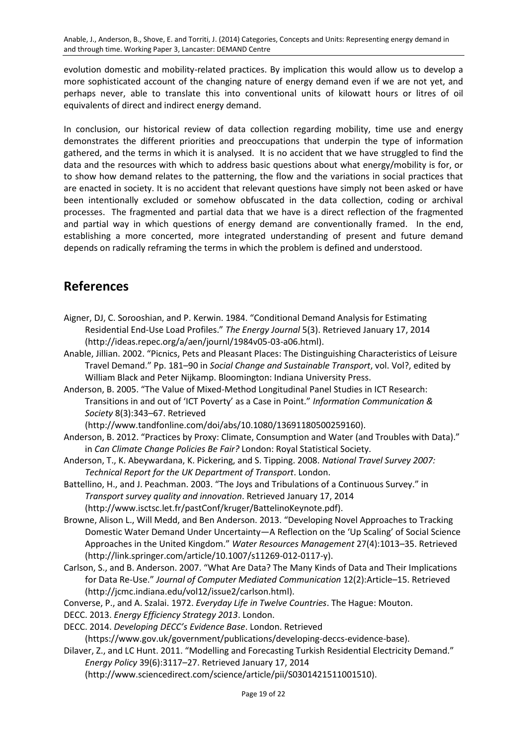evolution domestic and mobility-related practices. By implication this would allow us to develop a more sophisticated account of the changing nature of energy demand even if we are not yet, and perhaps never, able to translate this into conventional units of kilowatt hours or litres of oil equivalents of direct and indirect energy demand.

In conclusion, our historical review of data collection regarding mobility, time use and energy demonstrates the different priorities and preoccupations that underpin the type of information gathered, and the terms in which it is analysed. It is no accident that we have struggled to find the data and the resources with which to address basic questions about what energy/mobility is for, or to show how demand relates to the patterning, the flow and the variations in social practices that are enacted in society. It is no accident that relevant questions have simply not been asked or have been intentionally excluded or somehow obfuscated in the data collection, coding or archival processes. The fragmented and partial data that we have is a direct reflection of the fragmented and partial way in which questions of energy demand are conventionally framed. In the end, establishing a more concerted, more integrated understanding of present and future demand depends on radically reframing the terms in which the problem is defined and understood.

# **References**

- Aigner, DJ, C. Sorooshian, and P. Kerwin. 1984. "Conditional Demand Analysis for Estimating Residential End-Use Load Profiles." *The Energy Journal* 5(3). Retrieved January 17, 2014 (http://ideas.repec.org/a/aen/journl/1984v05-03-a06.html).
- Anable, Jillian. 2002. "Picnics, Pets and Pleasant Places: The Distinguishing Characteristics of Leisure Travel Demand." Pp. 181–90 in *Social Change and Sustainable Transport*, vol. Vol?, edited by William Black and Peter Nijkamp. Bloomington: Indiana University Press.
- Anderson, B. 2005. "The Value of Mixed-Method Longitudinal Panel Studies in ICT Research: Transitions in and out of 'ICT Poverty' as a Case in Point." *Information Communication & Society* 8(3):343–67. Retrieved

(http://www.tandfonline.com/doi/abs/10.1080/13691180500259160).

- Anderson, B. 2012. "Practices by Proxy: Climate, Consumption and Water (and Troubles with Data)." in *Can Climate Change Policies Be Fair?* London: Royal Statistical Society.
- Anderson, T., K. Abeywardana, K. Pickering, and S. Tipping. 2008. *National Travel Survey 2007: Technical Report for the UK Department of Transport*. London.
- Battellino, H., and J. Peachman. 2003. "The Joys and Tribulations of a Continuous Survey." in *Transport survey quality and innovation*. Retrieved January 17, 2014 (http://www.isctsc.let.fr/pastConf/kruger/BattelinoKeynote.pdf).
- Browne, Alison L., Will Medd, and Ben Anderson. 2013. "Developing Novel Approaches to Tracking Domestic Water Demand Under Uncertainty—A Reflection on the 'Up Scaling' of Social Science Approaches in the United Kingdom." *Water Resources Management* 27(4):1013–35. Retrieved (http://link.springer.com/article/10.1007/s11269-012-0117-y).
- Carlson, S., and B. Anderson. 2007. "What Are Data? The Many Kinds of Data and Their Implications for Data Re-Use." *Journal of Computer Mediated Communication* 12(2):Article–15. Retrieved (http://jcmc.indiana.edu/vol12/issue2/carlson.html).
- Converse, P., and A. Szalai. 1972. *Everyday Life in Twelve Countries*. The Hague: Mouton.
- DECC. 2013. *Energy Efficiency Strategy 2013*. London.
- DECC. 2014. *Developing DECC's Evidence Base*. London. Retrieved

(https://www.gov.uk/government/publications/developing-deccs-evidence-base).

Dilaver, Z., and LC Hunt. 2011. "Modelling and Forecasting Turkish Residential Electricity Demand." *Energy Policy* 39(6):3117–27. Retrieved January 17, 2014

(http://www.sciencedirect.com/science/article/pii/S0301421511001510).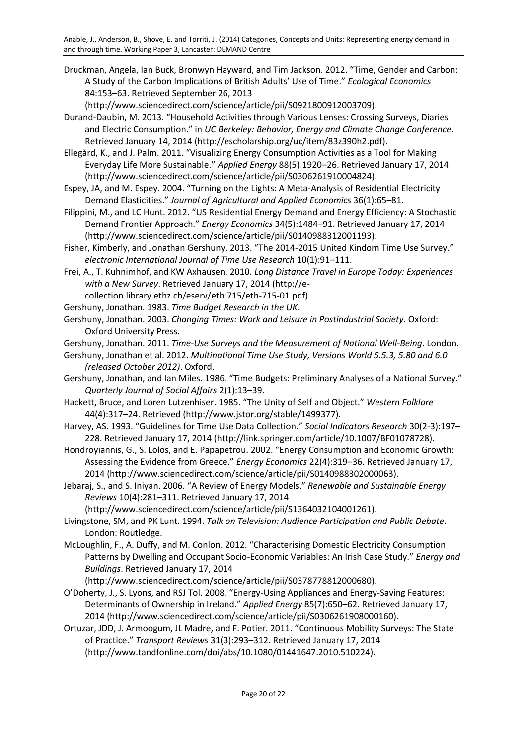Druckman, Angela, Ian Buck, Bronwyn Hayward, and Tim Jackson. 2012. "Time, Gender and Carbon: A Study of the Carbon Implications of British Adults' Use of Time." *Ecological Economics* 84:153–63. Retrieved September 26, 2013

(http://www.sciencedirect.com/science/article/pii/S0921800912003709).

Durand-Daubin, M. 2013. "Household Activities through Various Lenses: Crossing Surveys, Diaries and Electric Consumption." in *UC Berkeley: Behavior, Energy and Climate Change Conference*. Retrieved January 14, 2014 (http://escholarship.org/uc/item/83z390h2.pdf).

Ellegård, K., and J. Palm. 2011. "Visualizing Energy Consumption Activities as a Tool for Making Everyday Life More Sustainable." *Applied Energy* 88(5):1920–26. Retrieved January 17, 2014 (http://www.sciencedirect.com/science/article/pii/S0306261910004824).

Espey, JA, and M. Espey. 2004. "Turning on the Lights: A Meta-Analysis of Residential Electricity Demand Elasticities." *Journal of Agricultural and Applied Economics* 36(1):65–81.

Filippini, M., and LC Hunt. 2012. "US Residential Energy Demand and Energy Efficiency: A Stochastic Demand Frontier Approach." *Energy Economics* 34(5):1484–91. Retrieved January 17, 2014 (http://www.sciencedirect.com/science/article/pii/S0140988312001193).

Fisher, Kimberly, and Jonathan Gershuny. 2013. "The 2014-2015 United Kindom Time Use Survey." *electronic International Journal of Time Use Research* 10(1):91–111.

Frei, A., T. Kuhnimhof, and KW Axhausen. 2010. *Long Distance Travel in Europe Today: Experiences with a New Survey*. Retrieved January 17, 2014 (http://e-

collection.library.ethz.ch/eserv/eth:715/eth-715-01.pdf).

Gershuny, Jonathan. 1983. *Time Budget Research in the UK*.

Gershuny, Jonathan. 2003. *Changing Times: Work and Leisure in Postindustrial Society*. Oxford: Oxford University Press.

Gershuny, Jonathan. 2011. *Time-Use Surveys and the Measurement of National Well-Being*. London.

Gershuny, Jonathan et al. 2012. *Multinational Time Use Study, Versions World 5.5.3, 5.80 and 6.0 (released October 2012)*. Oxford.

Gershuny, Jonathan, and Ian Miles. 1986. "Time Budgets: Preliminary Analyses of a National Survey." *Quarterly Journal of Social Affairs* 2(1):13–39.

Hackett, Bruce, and Loren Lutzenhiser. 1985. "The Unity of Self and Object." *Western Folklore* 44(4):317–24. Retrieved (http://www.jstor.org/stable/1499377).

Harvey, AS. 1993. "Guidelines for Time Use Data Collection." *Social Indicators Research* 30(2-3):197– 228. Retrieved January 17, 2014 (http://link.springer.com/article/10.1007/BF01078728).

Hondroyiannis, G., S. Lolos, and E. Papapetrou. 2002. "Energy Consumption and Economic Growth: Assessing the Evidence from Greece." *Energy Economics* 22(4):319–36. Retrieved January 17, 2014 (http://www.sciencedirect.com/science/article/pii/S0140988302000063).

Jebaraj, S., and S. Iniyan. 2006. "A Review of Energy Models." *Renewable and Sustainable Energy Reviews* 10(4):281–311. Retrieved January 17, 2014

(http://www.sciencedirect.com/science/article/pii/S1364032104001261).

Livingstone, SM, and PK Lunt. 1994. *Talk on Television: Audience Participation and Public Debate*. London: Routledge.

McLoughlin, F., A. Duffy, and M. Conlon. 2012. "Characterising Domestic Electricity Consumption Patterns by Dwelling and Occupant Socio-Economic Variables: An Irish Case Study." *Energy and Buildings*. Retrieved January 17, 2014

(http://www.sciencedirect.com/science/article/pii/S0378778812000680).

O'Doherty, J., S. Lyons, and RSJ Tol. 2008. "Energy-Using Appliances and Energy-Saving Features: Determinants of Ownership in Ireland." *Applied Energy* 85(7):650–62. Retrieved January 17, 2014 (http://www.sciencedirect.com/science/article/pii/S0306261908000160).

Ortuzar, JDD, J. Armoogum, JL Madre, and F. Potier. 2011. "Continuous Mobility Surveys: The State of Practice." *Transport Reviews* 31(3):293–312. Retrieved January 17, 2014 (http://www.tandfonline.com/doi/abs/10.1080/01441647.2010.510224).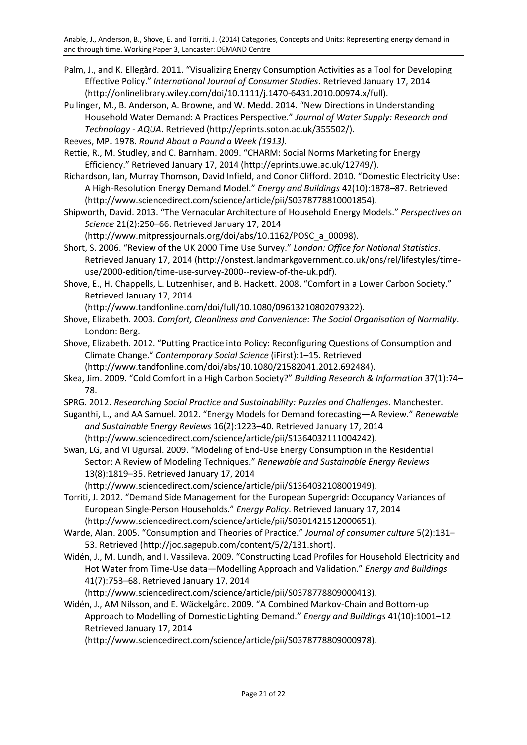- Palm, J., and K. Ellegård. 2011. "Visualizing Energy Consumption Activities as a Tool for Developing Effective Policy." *International Journal of Consumer Studies*. Retrieved January 17, 2014 (http://onlinelibrary.wiley.com/doi/10.1111/j.1470-6431.2010.00974.x/full).
- Pullinger, M., B. Anderson, A. Browne, and W. Medd. 2014. "New Directions in Understanding Household Water Demand: A Practices Perspective." *Journal of Water Supply: Research and Technology - AQUA*. Retrieved (http://eprints.soton.ac.uk/355502/).
- Reeves, MP. 1978. *Round About a Pound a Week (1913)*.
- Rettie, R., M. Studley, and C. Barnham. 2009. "CHARM: Social Norms Marketing for Energy Efficiency." Retrieved January 17, 2014 (http://eprints.uwe.ac.uk/12749/).
- Richardson, Ian, Murray Thomson, David Infield, and Conor Clifford. 2010. "Domestic Electricity Use: A High-Resolution Energy Demand Model." *Energy and Buildings* 42(10):1878–87. Retrieved (http://www.sciencedirect.com/science/article/pii/S0378778810001854).
- Shipworth, David. 2013. "The Vernacular Architecture of Household Energy Models." *Perspectives on Science* 21(2):250–66. Retrieved January 17, 2014

(http://www.mitpressjournals.org/doi/abs/10.1162/POSC\_a\_00098).

- Short, S. 2006. "Review of the UK 2000 Time Use Survey." *London: Office for National Statistics*. Retrieved January 17, 2014 (http://onstest.landmarkgovernment.co.uk/ons/rel/lifestyles/timeuse/2000-edition/time-use-survey-2000--review-of-the-uk.pdf).
- Shove, E., H. Chappells, L. Lutzenhiser, and B. Hackett. 2008. "Comfort in a Lower Carbon Society." Retrieved January 17, 2014

(http://www.tandfonline.com/doi/full/10.1080/09613210802079322).

- Shove, Elizabeth. 2003. *Comfort, Cleanliness and Convenience: The Social Organisation of Normality*. London: Berg.
- Shove, Elizabeth. 2012. "Putting Practice into Policy: Reconfiguring Questions of Consumption and Climate Change." *Contemporary Social Science* (iFirst):1–15. Retrieved
	- (http://www.tandfonline.com/doi/abs/10.1080/21582041.2012.692484).
- Skea, Jim. 2009. "Cold Comfort in a High Carbon Society?" *Building Research & Information* 37(1):74– 78.
- SPRG. 2012. *Researching Social Practice and Sustainability: Puzzles and Challenges*. Manchester.
- Suganthi, L., and AA Samuel. 2012. "Energy Models for Demand forecasting—A Review." *Renewable and Sustainable Energy Reviews* 16(2):1223–40. Retrieved January 17, 2014 (http://www.sciencedirect.com/science/article/pii/S1364032111004242).
- Swan, LG, and VI Ugursal. 2009. "Modeling of End-Use Energy Consumption in the Residential Sector: A Review of Modeling Techniques." *Renewable and Sustainable Energy Reviews* 13(8):1819–35. Retrieved January 17, 2014

(http://www.sciencedirect.com/science/article/pii/S1364032108001949).

- Torriti, J. 2012. "Demand Side Management for the European Supergrid: Occupancy Variances of European Single-Person Households." *Energy Policy*. Retrieved January 17, 2014 (http://www.sciencedirect.com/science/article/pii/S0301421512000651).
- Warde, Alan. 2005. "Consumption and Theories of Practice." *Journal of consumer culture* 5(2):131– 53. Retrieved (http://joc.sagepub.com/content/5/2/131.short).
- Widén, J., M. Lundh, and I. Vassileva. 2009. "Constructing Load Profiles for Household Electricity and Hot Water from Time-Use data—Modelling Approach and Validation." *Energy and Buildings* 41(7):753–68. Retrieved January 17, 2014

(http://www.sciencedirect.com/science/article/pii/S0378778809000413).

Widén, J., AM Nilsson, and E. Wäckelgård. 2009. "A Combined Markov-Chain and Bottom-up Approach to Modelling of Domestic Lighting Demand." *Energy and Buildings* 41(10):1001–12. Retrieved January 17, 2014

(http://www.sciencedirect.com/science/article/pii/S0378778809000978).